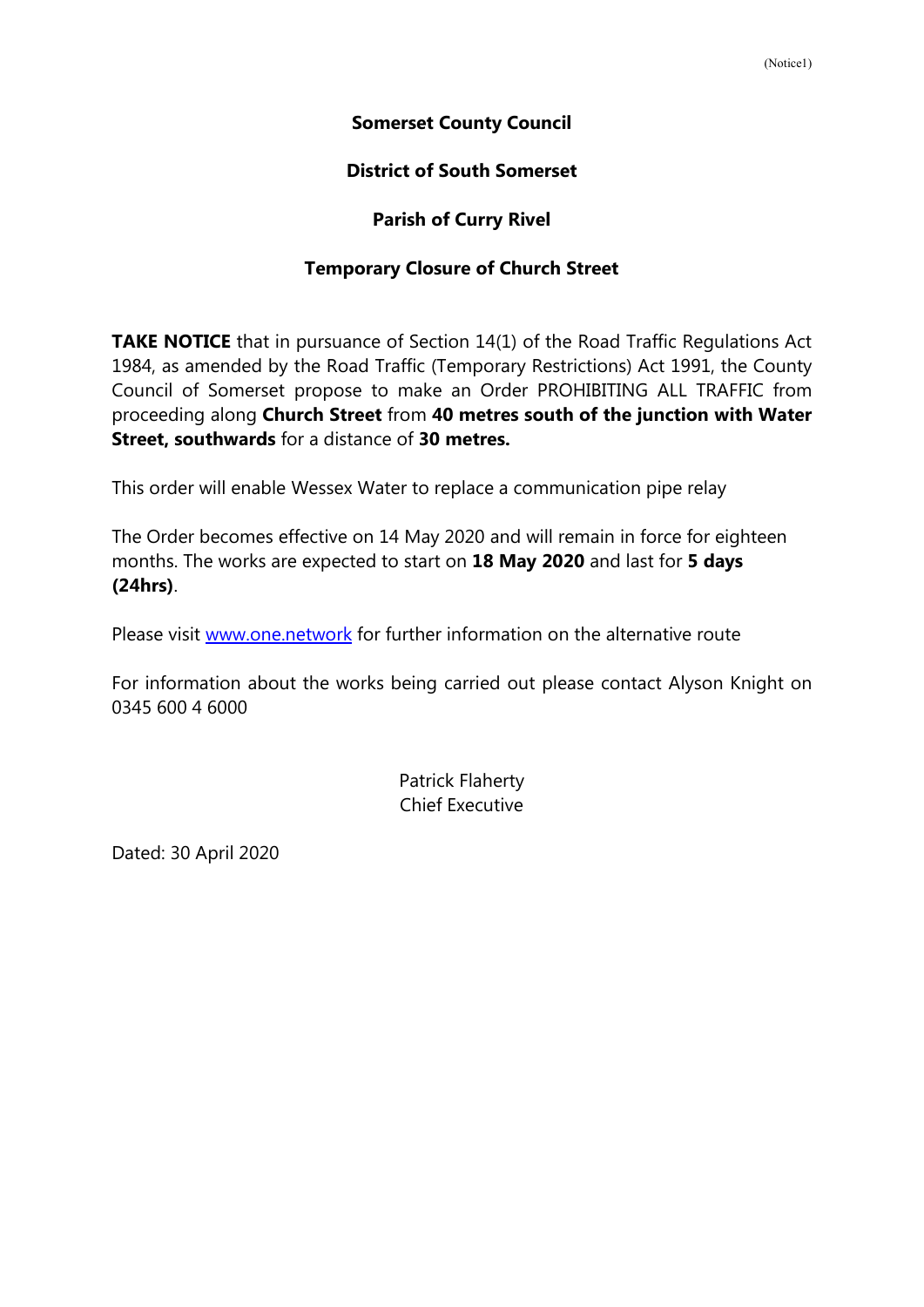## **Somerset County Council**

## **District of South Somerset**

## **Parish of Curry Rivel**

## **Temporary Closure of Church Street**

**TAKE NOTICE** that in pursuance of Section 14(1) of the Road Traffic Regulations Act 1984, as amended by the Road Traffic (Temporary Restrictions) Act 1991, the County Council of Somerset propose to make an Order PROHIBITING ALL TRAFFIC from proceeding along **Church Street** from **40 metres south of the junction with Water Street, southwards** for a distance of **30 metres.**

This order will enable Wessex Water to replace a communication pipe relay

The Order becomes effective on 14 May 2020 and will remain in force for eighteen months. The works are expected to start on **18 May 2020** and last for **5 days (24hrs)**.

Please visit [www.one.network](http://www.one.network/) for further information on the alternative route

For information about the works being carried out please contact Alyson Knight on 0345 600 4 6000

> Patrick Flaherty Chief Executive

Dated: 30 April 2020